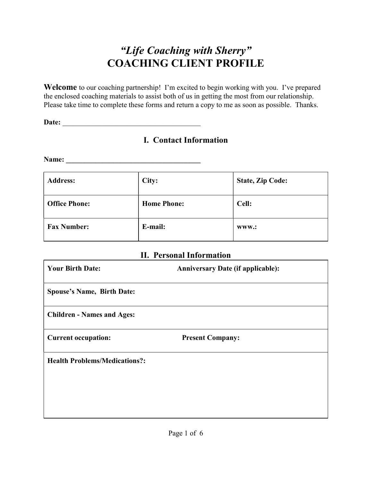# "Life Coaching with Sherry" COACHING CLIENT PROFILE

Welcome to our coaching partnership! I'm excited to begin working with you. I've prepared the enclosed coaching materials to assist both of us in getting the most from our relationship. Please take time to complete these forms and return a copy to me as soon as possible. Thanks.

Date: \_\_\_\_\_\_\_\_\_\_\_\_\_\_\_\_\_\_\_\_\_\_\_\_\_\_\_\_\_\_\_\_\_\_\_\_\_\_

### I. Contact Information

Name: \_\_\_\_\_\_\_\_\_\_\_\_\_\_\_\_\_\_\_\_\_\_\_\_\_\_\_\_\_\_\_\_\_\_\_\_\_

| <b>Address:</b>      | City:              | <b>State, Zip Code:</b> |
|----------------------|--------------------|-------------------------|
| <b>Office Phone:</b> | <b>Home Phone:</b> | Cell:                   |
| <b>Fax Number:</b>   | E-mail:            | WWW.:                   |

### II. Personal Information

| <b>Your Birth Date:</b>              | <b>Anniversary Date (if applicable):</b> |
|--------------------------------------|------------------------------------------|
| <b>Spouse's Name, Birth Date:</b>    |                                          |
| <b>Children - Names and Ages:</b>    |                                          |
| <b>Current occupation:</b>           | <b>Present Company:</b>                  |
| <b>Health Problems/Medications?:</b> |                                          |
|                                      |                                          |
|                                      |                                          |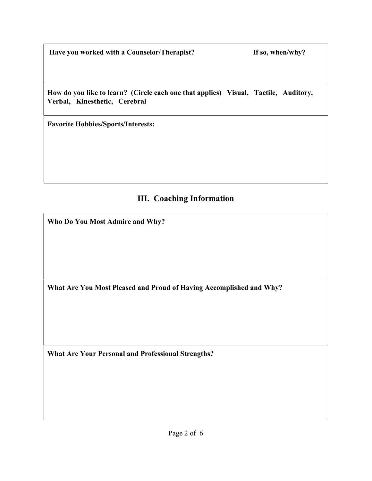Have you worked with a Counselor/Therapist? If so, when/why?

How do you like to learn? (Circle each one that applies) Visual, Tactile, Auditory, Verbal, Kinesthetic, Cerebral

Favorite Hobbies/Sports/Interests:

# III. Coaching Information

Who Do You Most Admire and Why?

What Are You Most Pleased and Proud of Having Accomplished and Why?

What Are Your Personal and Professional Strengths?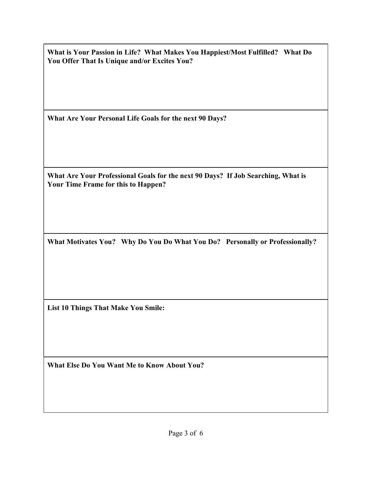What is Your Passion in Life? What Makes You Happiest/Most Fulfilled? What Do You Offer That Is Unique and/or Excites You?

What Are Your Personal Life Goals for the next 90 Days?

What Are Your Professional Goals for the next 90 Days? If Job Searching, What is Your Time Frame for this to Happen?

What Motivates You? Why Do You Do What You Do? Personally or Professionally?

List 10 Things That Make You Smile:

What Else Do You Want Me to Know About You?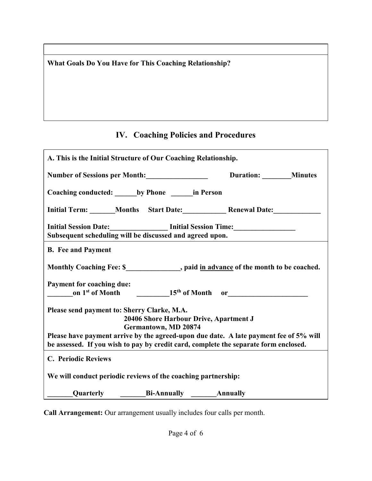What Goals Do You Have for This Coaching Relationship?

## IV. Coaching Policies and Procedures

| A. This is the Initial Structure of Our Coaching Relationship.                                                                                                                                                                                                                                        |  |                              |  |  |
|-------------------------------------------------------------------------------------------------------------------------------------------------------------------------------------------------------------------------------------------------------------------------------------------------------|--|------------------------------|--|--|
| Number of Sessions per Month:                                                                                                                                                                                                                                                                         |  | Duration: __________ Minutes |  |  |
| Coaching conducted: by Phone _______ in Person                                                                                                                                                                                                                                                        |  |                              |  |  |
| Initial Term: _______Months Start Date: ______________Renewal Date: ____________                                                                                                                                                                                                                      |  |                              |  |  |
| Initial Session Date: Initial Session Time:<br>Subsequent scheduling will be discussed and agreed upon.                                                                                                                                                                                               |  |                              |  |  |
| <b>B.</b> Fee and Payment                                                                                                                                                                                                                                                                             |  |                              |  |  |
| Monthly Coaching Fee: \$_____________, paid in advance of the month to be coached.                                                                                                                                                                                                                    |  |                              |  |  |
| <b>Payment for coaching due:</b><br>on 1 <sup>st</sup> of Month 15 <sup>th</sup> of Month or                                                                                                                                                                                                          |  |                              |  |  |
| Please send payment to: Sherry Clarke, M.A.<br><b>20406 Shore Harbour Drive, Apartment J</b><br>Germantown, MD 20874<br>Please have payment arrive by the agreed-upon due date. A late payment fee of 5% will<br>be assessed. If you wish to pay by credit card, complete the separate form enclosed. |  |                              |  |  |
| <b>C. Periodic Reviews</b>                                                                                                                                                                                                                                                                            |  |                              |  |  |
| We will conduct periodic reviews of the coaching partnership:                                                                                                                                                                                                                                         |  |                              |  |  |
| Quarterly Bi-Annually _______ Annually                                                                                                                                                                                                                                                                |  |                              |  |  |

Call Arrangement: Our arrangement usually includes four calls per month.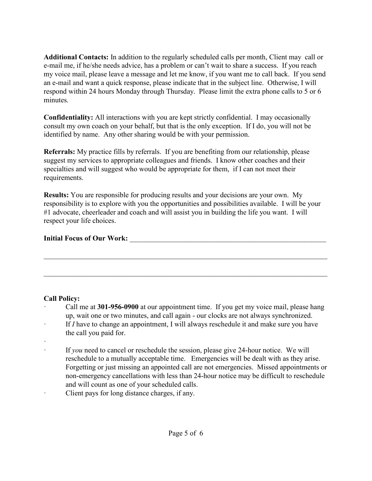Additional Contacts: In addition to the regularly scheduled calls per month, Client may call or e-mail me, if he/she needs advice, has a problem or can't wait to share a success. If you reach my voice mail, please leave a message and let me know, if you want me to call back. If you send an e-mail and want a quick response, please indicate that in the subject line. Otherwise, I will respond within 24 hours Monday through Thursday. Please limit the extra phone calls to 5 or 6 minutes.

Confidentiality: All interactions with you are kept strictly confidential. I may occasionally consult my own coach on your behalf, but that is the only exception. If I do, you will not be identified by name. Any other sharing would be with your permission.

Referrals: My practice fills by referrals. If you are benefiting from our relationship, please suggest my services to appropriate colleagues and friends. I know other coaches and their specialties and will suggest who would be appropriate for them, if I can not meet their requirements.

Results: You are responsible for producing results and your decisions are your own. My responsibility is to explore with you the opportunities and possibilities available. I will be your #1 advocate, cheerleader and coach and will assist you in building the life you want. I will respect your life choices.

#### Initial Focus of Our Work:

#### Call Policy:

- Call me at 301-956-0900 at our appointment time. If you get my voice mail, please hang up, wait one or two minutes, and call again - our clocks are not always synchronized.
- If  $I$  have to change an appointment, I will always reschedule it and make sure you have the call you paid for.
- ·
	- If you need to cancel or reschedule the session, please give 24-hour notice. We will reschedule to a mutually acceptable time. Emergencies will be dealt with as they arise. Forgetting or just missing an appointed call are not emergencies. Missed appointments or non-emergency cancellations with less than 24-hour notice may be difficult to reschedule and will count as one of your scheduled calls.
- Client pays for long distance charges, if any.